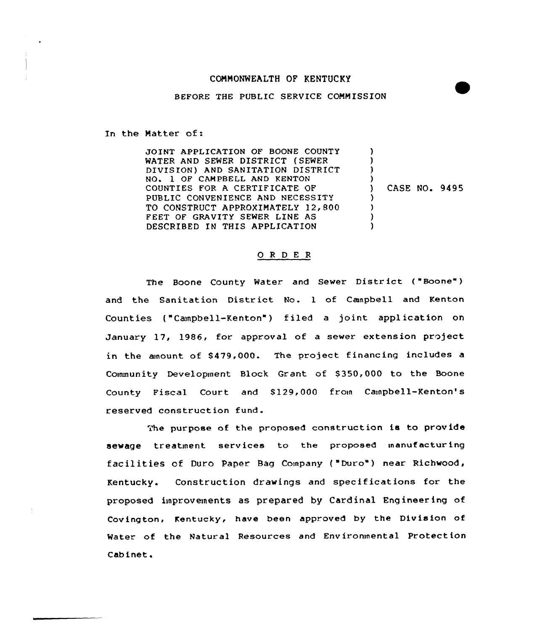# COMMONWEALTH OF KENTUCKY

## BEFORE THE PUBLIC SERVICE COMMISSION

In the Matter of:

JOINT APPLICATION OF BOONE COUNTY WATER AND SEWER DISTRICT (SEWER DIVISION) AND SANITATION DISTRICT NQ» 1 OF CAMPBELL AND KENTON COUNTIES FOR A CERTIFICATE OF PUBLIC CONVENIENCE AND NECESSITY TO CONSTRUCT APPROXIMATELY 12,800 FEET OF GRAVITY SEWER LINE AS DESCRIBED IN THIS APPLICATION ) ) )  $\left\{ \right\}$ ) CASE NO. 9495 ) ) )

#### 0 <sup>R</sup> <sup>D</sup> E <sup>R</sup>

The Boone County Water and Sewer District ("Boone") and the Sanitation District No. <sup>1</sup> of Cenpbell and Kenton Counties ("Canpbell-Kenton") filed a joint application on January 17, 1986, for approval of a sewer extension project in the enount of 8479,000. The project financing includes a Community Development Block Grant of \$350,000 to the Boone County Fiscal Court and 8129,000 frown Campbell-Kenton's reserved construction fund.

The purpose of the proposed construction is to provide sewage treatment services to the proposed manufacturing f ac il it ies of Duro Paper. Bag Company ( "Duro" ) near Richwood, Kentucky. Construction drawings and specifications fcr the proposed improvements as prepared by Cardinal Engineering of Covington, Kentucky, have been approved by the Division of Water of the Natural Resources and Environmental Protection Cab inet.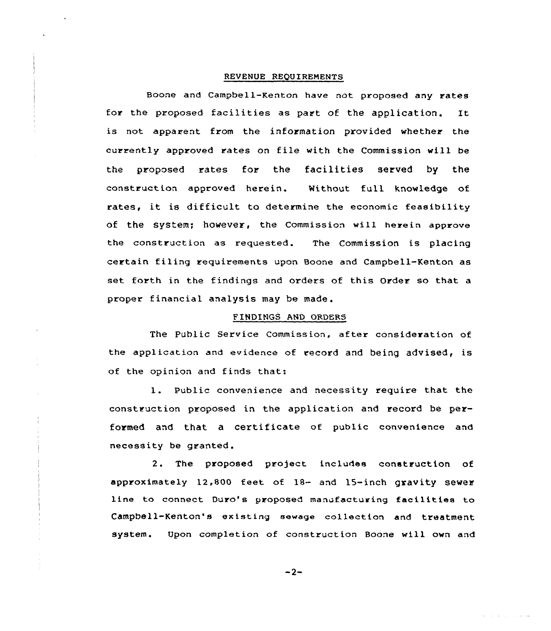## REVENUE REQUIREMENTS

Boone and Campbell-Kenton have not proposed any rates for the proposed facilities as part of the application. It is not apparent from the information provided whether the currently approved rates on file with the Commission will be the proposed rates for the facilities served by the construction approved herein. Without full knowledge of rates, it is difficult to determine the economic feasibility of the system; however, the Commission will herein approve the construction as requested. The Commission is placing certain filing requirements upon Boone and Campbell-Kenton as set forth in the findings and orders of this Order so that a proper financial analysis may be made.

## FINDINGS AND ORDERS

The Public Service Commission, after consideration of the application and evidence of record and being advised, is of the opinion and finds that:

1. Public convenience and necessity require that the construction proposed in the application and record be performed and that <sup>a</sup> certificate of public convenience and necessity be granted.

2. The proposed project includes construction of approximately 12,800 feet of 18- and 15-inch gravity sewer line to connect Duro's proposed manufacturing facilities to Campbell-Kenton's existing sewage collection and treatment system. Upon completion of construction Boone will own and

 $-2-$ 

سوالي الوارد المراجع المراجع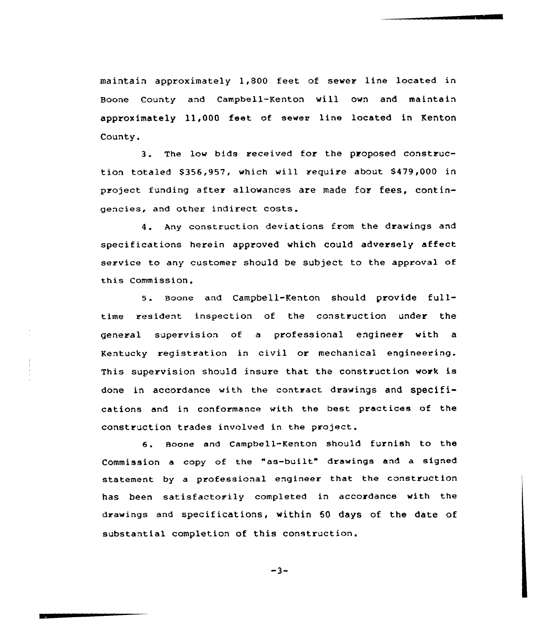maintain approximately 1,800 feet of sewer line located in Boone County and Campbell-Kenton will own and maintain approximately 11,000 feet of sewer line located in Kenton County.

3. The low bids received for the proposed construction totaled \$356,957, which will require about \$479,000 in project funding after allowances are made for fees, contingencies, and other indirect costs.

4. Any construction deviations from the drawings and specifications herein approved which could adversely affect service to any customer should be subject to the approval of this Commission,

<sup>5</sup> Boone and Campbe11-Kenton should provide fulltime resident inspection of the construction under the general supervision of a professional engineer with a Kentucky registration in civil or mechanical engineering. This supervision should insure that the construction work is done in accordance with the contract drawings and SpeCifications and in conformance with the best practices of the construction trades involved in the project.

6. Boone and Campbell-Kenton should furnish to the Commission <sup>a</sup> copy of the "as-built" drawings and <sup>a</sup> signed statement by a professional engineer that the construction has been satisfactorily completed in accordance with the drawings and specifications, within 50 days of the date of substantial completion of this construction.

$$
-3-
$$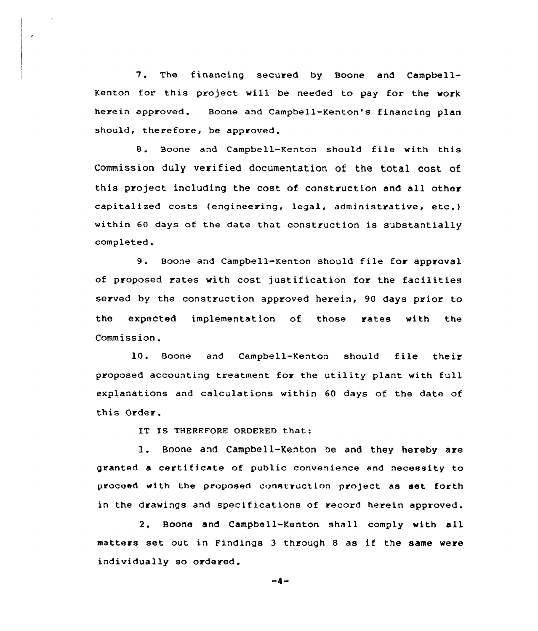7. The financing secured by Boone and Campbell-Kenton for this project will be needed to pay for the work herein approved. Boone and Campbell-Kenton's financing plan should, therefore, be approved.

8. Boone and Campbell-Kenton should file with this Commission duly verified documentation of the tatal cost of this project including the cost of construction and all other capitalized costs (engineering, legal, administrative, etc.) within 60 days of the date that construction is substantially completed .

9. Boone and Campbell-Kenton should file for approval of proposed rates with cost justification for the facilities served by the construction approved herein, 90 days prior to the expected implementation of those rates with the Commission.

10. Boone and Campbell-Kenton should file their proposed accounting treatment for the utility plant with full explanations and calculations within 60 days of the date of this Order.

IT IS THEREFORE ORDERED that:

1. Boone and Campbell-Kenton be and they hereby are granted a certificate of public convenience and necessity to proceed with the proposed construction project as set forth in the drawings and specifications of record herein approved.

2. Boone and Campbell-Kenton shall comply with all matters set out in Findings <sup>3</sup> through <sup>8</sup> as if the same were individually so ordered.

 $-4-$